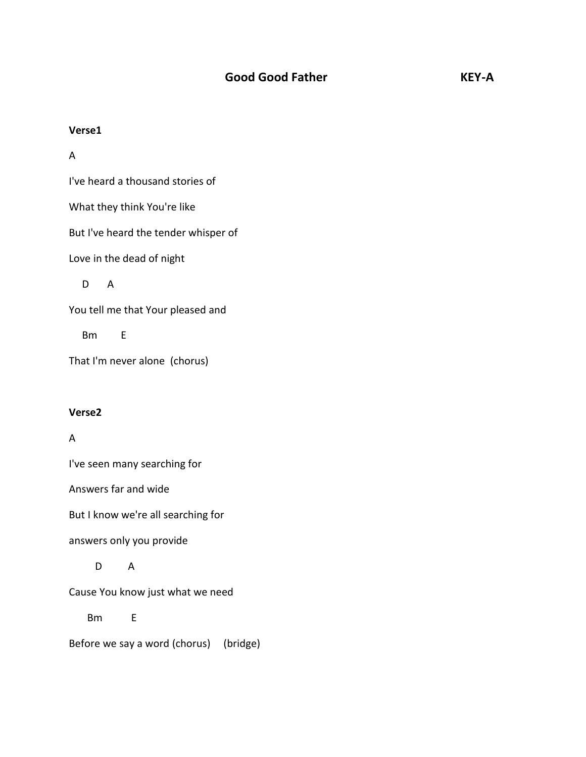# Good Good Father **KEY-A**

#### **Verse1**

A

I've heard a thousand stories of

What they think You're like

But I've heard the tender whisper of

Love in the dead of night

D A

You tell me that Your pleased and

Bm E

That I'm never alone (chorus)

## **Verse2**

## A

I've seen many searching for Answers far and wide But I know we're all searching for answers only you provide D A Cause You know just what we need

Bm E

Before we say a word (chorus) (bridge)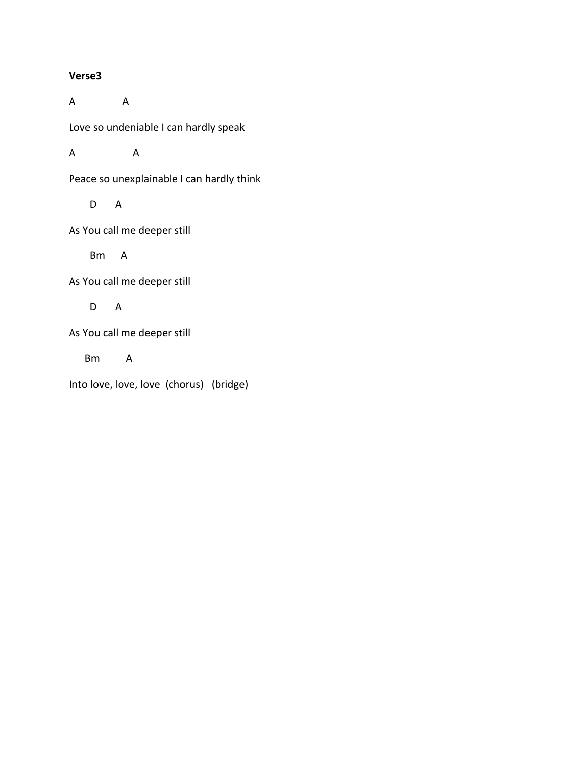#### **Verse3**

A A

Love so undeniable I can hardly speak

A A

Peace so unexplainable I can hardly think

D A

As You call me deeper still

Bm A

As You call me deeper still

D A

As You call me deeper still

Bm A

Into love, love, love (chorus) (bridge)